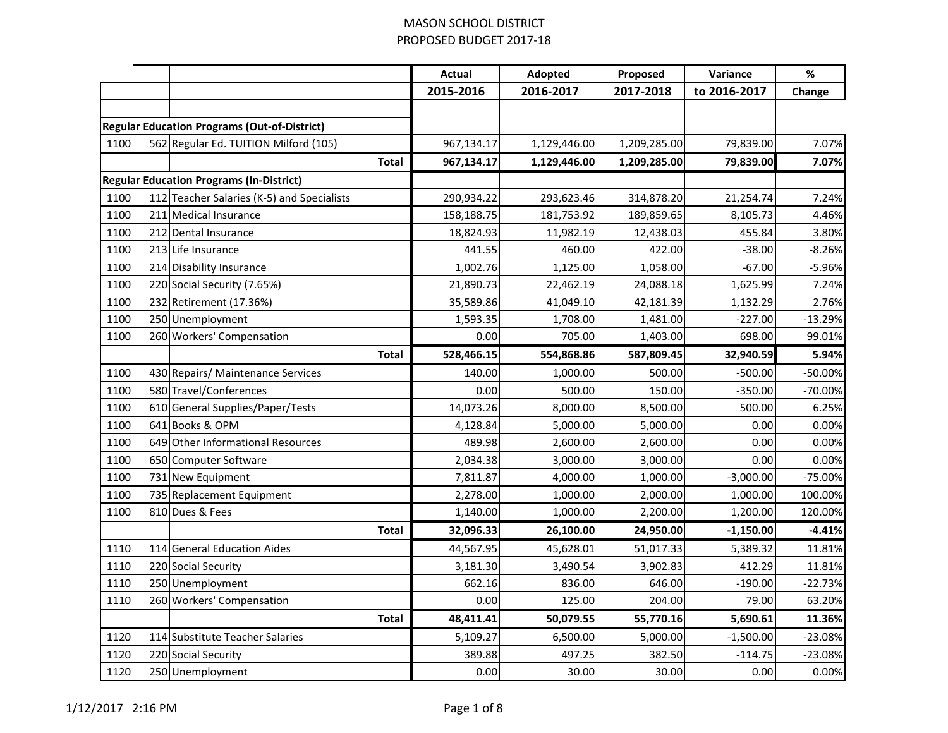|      |                                                     | <b>Actual</b> | Adopted      | Proposed     | Variance     | %         |
|------|-----------------------------------------------------|---------------|--------------|--------------|--------------|-----------|
|      |                                                     | 2015-2016     | 2016-2017    | 2017-2018    | to 2016-2017 | Change    |
|      |                                                     |               |              |              |              |           |
|      | <b>Regular Education Programs (Out-of-District)</b> |               |              |              |              |           |
| 1100 | 562 Regular Ed. TUITION Milford (105)               | 967,134.17    | 1,129,446.00 | 1,209,285.00 | 79,839.00    | 7.07%     |
|      | <b>Total</b>                                        | 967,134.17    | 1,129,446.00 | 1,209,285.00 | 79,839.00    | 7.07%     |
|      | <b>Regular Education Programs (In-District)</b>     |               |              |              |              |           |
| 1100 | 112 Teacher Salaries (K-5) and Specialists          | 290,934.22    | 293,623.46   | 314,878.20   | 21,254.74    | 7.24%     |
| 1100 | 211 Medical Insurance                               | 158,188.75    | 181,753.92   | 189,859.65   | 8,105.73     | 4.46%     |
| 1100 | 212 Dental Insurance                                | 18,824.93     | 11,982.19    | 12,438.03    | 455.84       | 3.80%     |
| 1100 | 213 Life Insurance                                  | 441.55        | 460.00       | 422.00       | $-38.00$     | $-8.26%$  |
| 1100 | 214 Disability Insurance                            | 1,002.76      | 1,125.00     | 1,058.00     | $-67.00$     | $-5.96%$  |
| 1100 | 220 Social Security (7.65%)                         | 21,890.73     | 22,462.19    | 24,088.18    | 1,625.99     | 7.24%     |
| 1100 | 232 Retirement (17.36%)                             | 35,589.86     | 41,049.10    | 42,181.39    | 1,132.29     | 2.76%     |
| 1100 | 250 Unemployment                                    | 1,593.35      | 1,708.00     | 1,481.00     | $-227.00$    | $-13.29%$ |
| 1100 | 260 Workers' Compensation                           | 0.00          | 705.00       | 1,403.00     | 698.00       | 99.01%    |
|      | <b>Total</b>                                        | 528,466.15    | 554,868.86   | 587,809.45   | 32,940.59    | 5.94%     |
| 1100 | 430 Repairs/ Maintenance Services                   | 140.00        | 1,000.00     | 500.00       | $-500.00$    | $-50.00%$ |
| 1100 | 580 Travel/Conferences                              | 0.00          | 500.00       | 150.00       | $-350.00$    | -70.00%   |
| 1100 | 610 General Supplies/Paper/Tests                    | 14,073.26     | 8,000.00     | 8,500.00     | 500.00       | 6.25%     |
| 1100 | 641 Books & OPM                                     | 4,128.84      | 5,000.00     | 5,000.00     | 0.00         | 0.00%     |
| 1100 | 649 Other Informational Resources                   | 489.98        | 2,600.00     | 2,600.00     | 0.00         | 0.00%     |
| 1100 | 650 Computer Software                               | 2,034.38      | 3,000.00     | 3,000.00     | 0.00         | 0.00%     |
| 1100 | 731 New Equipment                                   | 7,811.87      | 4,000.00     | 1,000.00     | $-3,000.00$  | $-75.00%$ |
| 1100 | 735 Replacement Equipment                           | 2,278.00      | 1,000.00     | 2,000.00     | 1,000.00     | 100.00%   |
| 1100 | 810 Dues & Fees                                     | 1,140.00      | 1,000.00     | 2,200.00     | 1,200.00     | 120.00%   |
|      | <b>Total</b>                                        | 32,096.33     | 26,100.00    | 24,950.00    | $-1,150.00$  | $-4.41%$  |
| 1110 | 114 General Education Aides                         | 44,567.95     | 45,628.01    | 51,017.33    | 5,389.32     | 11.81%    |
| 1110 | 220 Social Security                                 | 3,181.30      | 3,490.54     | 3,902.83     | 412.29       | 11.81%    |
| 1110 | 250 Unemployment                                    | 662.16        | 836.00       | 646.00       | $-190.00$    | $-22.73%$ |
| 1110 | 260 Workers' Compensation                           | 0.00          | 125.00       | 204.00       | 79.00        | 63.20%    |
|      | <b>Total</b>                                        | 48,411.41     | 50,079.55    | 55,770.16    | 5,690.61     | 11.36%    |
| 1120 | 114 Substitute Teacher Salaries                     | 5,109.27      | 6,500.00     | 5,000.00     | $-1,500.00$  | $-23.08%$ |
| 1120 | 220 Social Security                                 | 389.88        | 497.25       | 382.50       | $-114.75$    | $-23.08%$ |
| 1120 | 250 Unemployment                                    | 0.00          | 30.00        | 30.00        | $0.00\,$     | 0.00%     |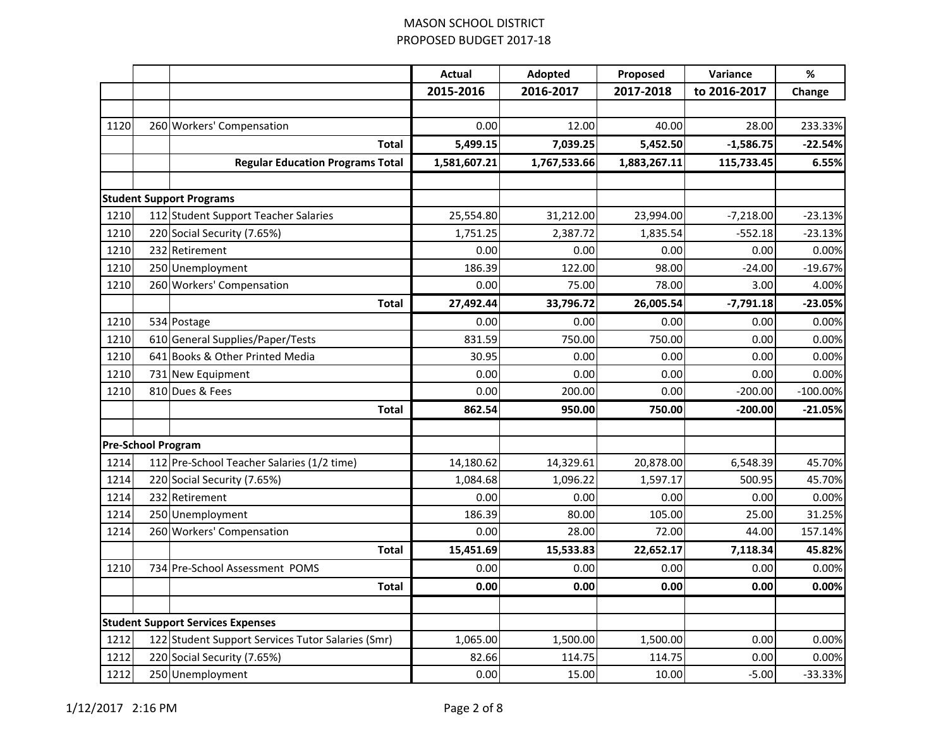|                           |     |                                                   | <b>Actual</b> | Adopted      | Proposed     | Variance     | $\%$       |
|---------------------------|-----|---------------------------------------------------|---------------|--------------|--------------|--------------|------------|
|                           |     |                                                   | 2015-2016     | 2016-2017    | 2017-2018    | to 2016-2017 | Change     |
|                           |     |                                                   |               |              |              |              |            |
| 1120                      |     | 260 Workers' Compensation                         | 0.00          | 12.00        | 40.00        | 28.00        | 233.33%    |
|                           |     | <b>Total</b>                                      | 5,499.15      | 7,039.25     | 5,452.50     | $-1,586.75$  | $-22.54%$  |
|                           |     | <b>Regular Education Programs Total</b>           | 1,581,607.21  | 1,767,533.66 | 1,883,267.11 | 115,733.45   | 6.55%      |
|                           |     |                                                   |               |              |              |              |            |
|                           |     | <b>Student Support Programs</b>                   |               |              |              |              |            |
| 1210                      |     | 112 Student Support Teacher Salaries              | 25,554.80     | 31,212.00    | 23,994.00    | $-7,218.00$  | $-23.13%$  |
| 1210                      |     | 220 Social Security (7.65%)                       | 1,751.25      | 2,387.72     | 1,835.54     | $-552.18$    | $-23.13%$  |
| 1210                      |     | 232 Retirement                                    | 0.00          | 0.00         | 0.00         | 0.00         | 0.00%      |
| 1210                      |     | 250 Unemployment                                  | 186.39        | 122.00       | 98.00        | $-24.00$     | $-19.67%$  |
| 1210                      |     | 260 Workers' Compensation                         | 0.00          | 75.00        | 78.00        | 3.00         | 4.00%      |
|                           |     | <b>Total</b>                                      | 27,492.44     | 33,796.72    | 26,005.54    | $-7,791.18$  | $-23.05%$  |
| 1210                      |     | 534 Postage                                       | 0.00          | 0.00         | 0.00         | 0.00         | 0.00%      |
| 1210                      | 610 | General Supplies/Paper/Tests                      | 831.59        | 750.00       | 750.00       | 0.00         | 0.00%      |
| 1210                      |     | 641 Books & Other Printed Media                   | 30.95         | 0.00         | 0.00         | 0.00         | 0.00%      |
| 1210                      |     | 731 New Equipment                                 | 0.00          | 0.00         | 0.00         | 0.00         | 0.00%      |
| 1210                      | 810 | Dues & Fees                                       | 0.00          | 200.00       | 0.00         | $-200.00$    | $-100.00%$ |
|                           |     | <b>Total</b>                                      | 862.54        | 950.00       | 750.00       | $-200.00$    | $-21.05%$  |
|                           |     |                                                   |               |              |              |              |            |
| <b>Pre-School Program</b> |     |                                                   |               |              |              |              |            |
| 1214                      |     | 112 Pre-School Teacher Salaries (1/2 time)        | 14,180.62     | 14,329.61    | 20,878.00    | 6,548.39     | 45.70%     |
| 1214                      |     | 220 Social Security (7.65%)                       | 1,084.68      | 1,096.22     | 1,597.17     | 500.95       | 45.70%     |
| 1214                      |     | 232 Retirement                                    | 0.00          | 0.00         | 0.00         | 0.00         | 0.00%      |
| 1214                      |     | 250 Unemployment                                  | 186.39        | 80.00        | 105.00       | 25.00        | 31.25%     |
| 1214                      |     | 260 Workers' Compensation                         | 0.00          | 28.00        | 72.00        | 44.00        | 157.14%    |
|                           |     | <b>Total</b>                                      | 15,451.69     | 15,533.83    | 22,652.17    | 7,118.34     | 45.82%     |
| 1210                      |     | 734 Pre-School Assessment POMS                    | 0.00          | 0.00         | 0.00         | 0.00         | 0.00%      |
|                           |     | <b>Total</b>                                      | 0.00          | 0.00         | 0.00         | 0.00         | 0.00%      |
|                           |     |                                                   |               |              |              |              |            |
|                           |     | <b>Student Support Services Expenses</b>          |               |              |              |              |            |
| 1212                      |     | 122 Student Support Services Tutor Salaries (Smr) | 1,065.00      | 1,500.00     | 1,500.00     | 0.00         | 0.00%      |
| 1212                      |     | 220 Social Security (7.65%)                       | 82.66         | 114.75       | 114.75       | 0.00         | 0.00%      |
| 1212                      |     | 250 Unemployment                                  | 0.00          | 15.00        | 10.00        | $-5.00$      | $-33.33%$  |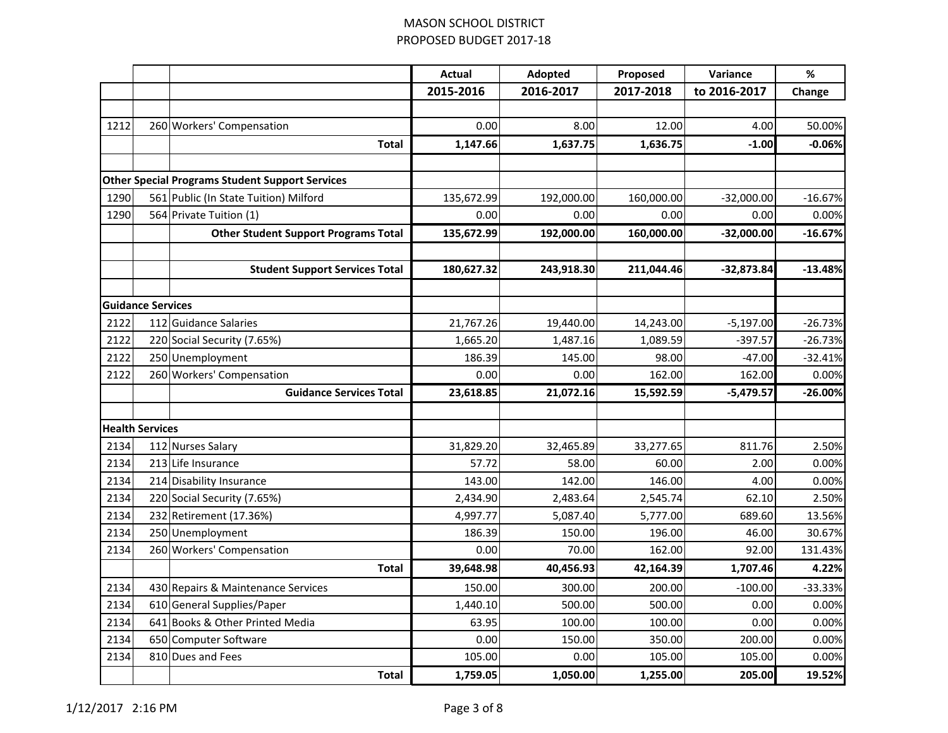|      |                          |                                                        | <b>Actual</b> | Adopted    | Proposed   | Variance     | $\%$      |
|------|--------------------------|--------------------------------------------------------|---------------|------------|------------|--------------|-----------|
|      |                          |                                                        | 2015-2016     | 2016-2017  | 2017-2018  | to 2016-2017 | Change    |
|      |                          |                                                        |               |            |            |              |           |
| 1212 |                          | 260 Workers' Compensation                              | 0.00          | 8.00       | 12.00      | 4.00         | 50.00%    |
|      |                          | <b>Total</b>                                           | 1,147.66      | 1,637.75   | 1,636.75   | $-1.00$      | $-0.06%$  |
|      |                          |                                                        |               |            |            |              |           |
|      |                          | <b>Other Special Programs Student Support Services</b> |               |            |            |              |           |
| 1290 |                          | 561 Public (In State Tuition) Milford                  | 135,672.99    | 192,000.00 | 160,000.00 | $-32,000.00$ | $-16.67%$ |
| 1290 |                          | 564 Private Tuition (1)                                | 0.00          | 0.00       | 0.00       | 0.00         | 0.00%     |
|      |                          | <b>Other Student Support Programs Total</b>            | 135,672.99    | 192,000.00 | 160,000.00 | $-32,000.00$ | $-16.67%$ |
|      |                          |                                                        |               |            |            |              |           |
|      |                          | <b>Student Support Services Total</b>                  | 180,627.32    | 243,918.30 | 211,044.46 | $-32,873.84$ | $-13.48%$ |
|      |                          |                                                        |               |            |            |              |           |
| 2122 | <b>Guidance Services</b> |                                                        |               |            |            |              |           |
|      |                          | 112 Guidance Salaries                                  | 21,767.26     | 19,440.00  | 14,243.00  | $-5,197.00$  | $-26.73%$ |
| 2122 |                          | 220 Social Security (7.65%)<br>250 Unemployment        | 1,665.20      | 1,487.16   | 1,089.59   | $-397.57$    | $-26.73%$ |
| 2122 |                          |                                                        | 186.39        | 145.00     | 98.00      | $-47.00$     | $-32.41%$ |
| 2122 |                          | 260 Workers' Compensation                              | 0.00          | 0.00       | 162.00     | 162.00       | 0.00%     |
|      |                          | <b>Guidance Services Total</b>                         | 23,618.85     | 21,072.16  | 15,592.59  | $-5,479.57$  | $-26.00%$ |
|      | <b>Health Services</b>   |                                                        |               |            |            |              |           |
| 2134 |                          | 112 Nurses Salary                                      | 31,829.20     | 32,465.89  | 33,277.65  | 811.76       | 2.50%     |
| 2134 |                          | 213 Life Insurance                                     | 57.72         | 58.00      | 60.00      | 2.00         | 0.00%     |
| 2134 |                          | 214 Disability Insurance                               | 143.00        | 142.00     | 146.00     | 4.00         | 0.00%     |
| 2134 |                          | 220 Social Security (7.65%)                            | 2,434.90      | 2,483.64   | 2,545.74   | 62.10        | 2.50%     |
| 2134 |                          | 232 Retirement (17.36%)                                | 4,997.77      | 5,087.40   | 5,777.00   | 689.60       | 13.56%    |
| 2134 |                          | 250 Unemployment                                       | 186.39        | 150.00     | 196.00     | 46.00        | 30.67%    |
| 2134 |                          | 260 Workers' Compensation                              | 0.00          | 70.00      | 162.00     | 92.00        | 131.43%   |
|      |                          | <b>Total</b>                                           | 39,648.98     | 40,456.93  | 42,164.39  | 1,707.46     | 4.22%     |
| 2134 |                          | 430 Repairs & Maintenance Services                     | 150.00        | 300.00     | 200.00     | $-100.00$    | $-33.33%$ |
| 2134 |                          | 610 General Supplies/Paper                             | 1,440.10      | 500.00     | 500.00     | 0.00         | 0.00%     |
| 2134 |                          | 641 Books & Other Printed Media                        | 63.95         | 100.00     | 100.00     | 0.00         | 0.00%     |
| 2134 |                          | 650 Computer Software                                  | 0.00          | 150.00     | 350.00     | 200.00       | 0.00%     |
| 2134 |                          | 810 Dues and Fees                                      | 105.00        | 0.00       | 105.00     | 105.00       | 0.00%     |
|      |                          | <b>Total</b>                                           | 1,759.05      | 1,050.00   | 1,255.00   | 205.00       | 19.52%    |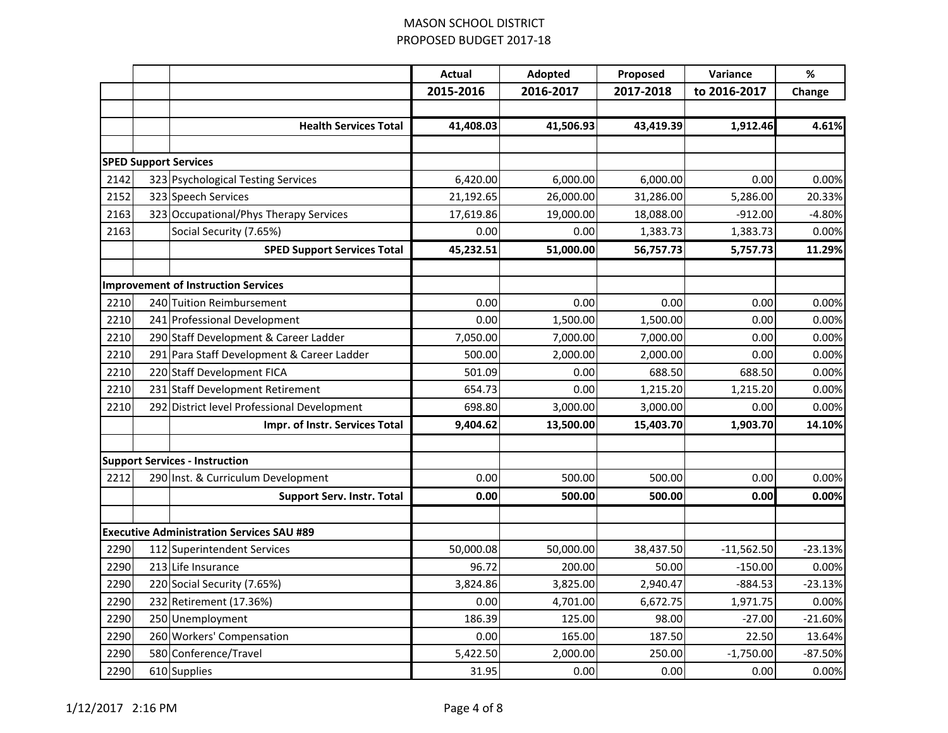|      |                                                  | <b>Actual</b> | Adopted   | Proposed  | Variance     | $\%$       |
|------|--------------------------------------------------|---------------|-----------|-----------|--------------|------------|
|      |                                                  | 2015-2016     | 2016-2017 | 2017-2018 | to 2016-2017 | Change     |
|      |                                                  |               |           |           |              |            |
|      | <b>Health Services Total</b>                     | 41,408.03     | 41,506.93 | 43,419.39 | 1,912.46     | 4.61%      |
|      |                                                  |               |           |           |              |            |
|      | <b>SPED Support Services</b>                     |               |           |           |              |            |
| 2142 | 323 Psychological Testing Services               | 6,420.00      | 6,000.00  | 6,000.00  | 0.00         | 0.00%      |
| 2152 | 323 Speech Services                              | 21,192.65     | 26,000.00 | 31,286.00 | 5,286.00     | 20.33%     |
| 2163 | 323 Occupational/Phys Therapy Services           | 17,619.86     | 19,000.00 | 18,088.00 | $-912.00$    | $-4.80%$   |
| 2163 | Social Security (7.65%)                          | 0.00          | 0.00      | 1,383.73  | 1,383.73     | 0.00%      |
|      | <b>SPED Support Services Total</b>               | 45,232.51     | 51,000.00 | 56,757.73 | 5,757.73     | 11.29%     |
|      |                                                  |               |           |           |              |            |
|      | <b>Improvement of Instruction Services</b>       |               |           |           |              |            |
| 2210 | 240 Tuition Reimbursement                        | 0.00          | 0.00      | 0.00      | 0.00         | 0.00%      |
| 2210 | 241 Professional Development                     | 0.00          | 1,500.00  | 1,500.00  | 0.00         | 0.00%      |
| 2210 | 290 Staff Development & Career Ladder            | 7,050.00      | 7,000.00  | 7,000.00  | 0.00         | 0.00%      |
| 2210 | 291 Para Staff Development & Career Ladder       | 500.00        | 2,000.00  | 2,000.00  | 0.00         | 0.00%      |
| 2210 | 220 Staff Development FICA                       | 501.09        | 0.00      | 688.50    | 688.50       | 0.00%      |
| 2210 | 231 Staff Development Retirement                 | 654.73        | 0.00      | 1,215.20  | 1,215.20     | 0.00%      |
| 2210 | 292 District level Professional Development      | 698.80        | 3,000.00  | 3,000.00  | 0.00         | 0.00%      |
|      | Impr. of Instr. Services Total                   | 9,404.62      | 13,500.00 | 15,403.70 | 1,903.70     | 14.10%     |
|      |                                                  |               |           |           |              |            |
|      | <b>Support Services - Instruction</b>            |               |           |           |              |            |
| 2212 | 290 Inst. & Curriculum Development               | 0.00          | 500.00    | 500.00    | 0.00         | 0.00%      |
|      | <b>Support Serv. Instr. Total</b>                | 0.00          | 500.00    | 500.00    | 0.00         | 0.00%      |
|      |                                                  |               |           |           |              |            |
|      | <b>Executive Administration Services SAU #89</b> |               |           |           |              |            |
| 2290 | 112 Superintendent Services                      | 50,000.08     | 50,000.00 | 38,437.50 | $-11,562.50$ | $-23.13%$  |
| 2290 | 213 Life Insurance                               | 96.72         | 200.00    | 50.00     | $-150.00$    | 0.00%      |
| 2290 | 220 Social Security (7.65%)                      | 3,824.86      | 3,825.00  | 2,940.47  | $-884.53$    | $-23.13%$  |
| 2290 | 232 Retirement (17.36%)                          | 0.00          | 4,701.00  | 6,672.75  | 1,971.75     | 0.00%      |
| 2290 | 250 Unemployment                                 | 186.39        | 125.00    | 98.00     | $-27.00$     | $-21.60%$  |
| 2290 | 260 Workers' Compensation                        | 0.00          | 165.00    | 187.50    | 22.50        | 13.64%     |
| 2290 | 580 Conference/Travel                            | 5,422.50      | 2,000.00  | 250.00    | $-1,750.00$  | $-87.50\%$ |
| 2290 | 610 Supplies                                     | 31.95         | 0.00      | 0.00      | 0.00         | 0.00%      |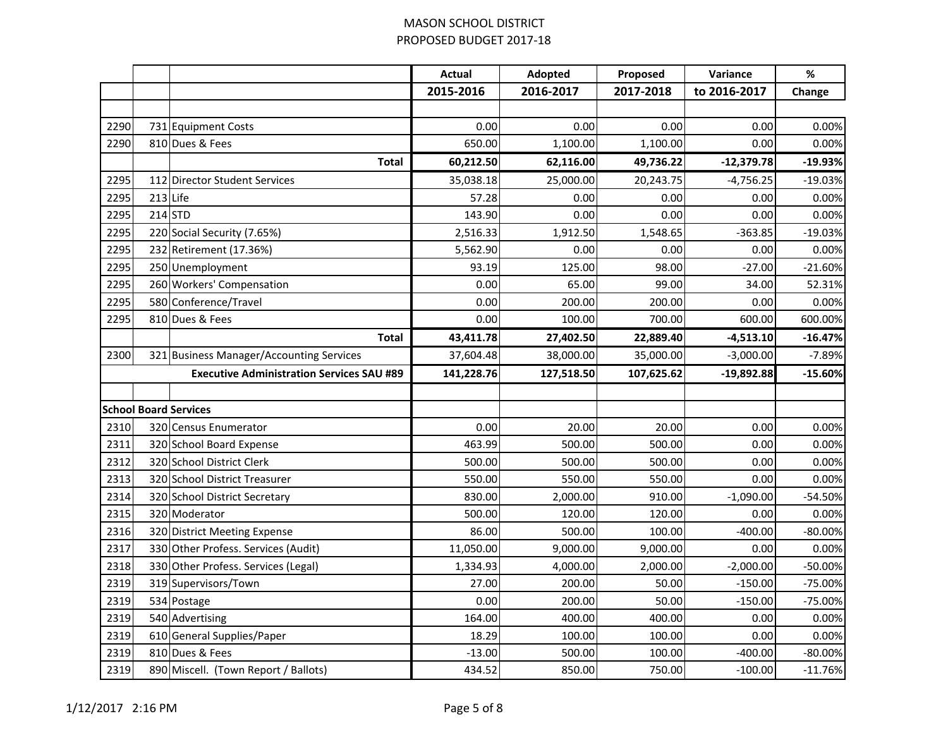|      |          |                                                  | <b>Actual</b> | Adopted    | Proposed   | Variance     | $\%$      |
|------|----------|--------------------------------------------------|---------------|------------|------------|--------------|-----------|
|      |          |                                                  | 2015-2016     | 2016-2017  | 2017-2018  | to 2016-2017 | Change    |
|      |          |                                                  |               |            |            |              |           |
| 2290 |          | 731 Equipment Costs                              | 0.00          | 0.00       | 0.00       | 0.00         | 0.00%     |
| 2290 |          | 810 Dues & Fees                                  | 650.00        | 1,100.00   | 1,100.00   | 0.00         | 0.00%     |
|      |          | <b>Total</b>                                     | 60,212.50     | 62,116.00  | 49,736.22  | $-12,379.78$ | $-19.93%$ |
| 2295 |          | 112 Director Student Services                    | 35,038.18     | 25,000.00  | 20,243.75  | $-4,756.25$  | $-19.03%$ |
| 2295 | 213 Life |                                                  | 57.28         | 0.00       | 0.00       | 0.00         | 0.00%     |
| 2295 | 214 STD  |                                                  | 143.90        | 0.00       | 0.00       | 0.00         | 0.00%     |
| 2295 |          | 220 Social Security (7.65%)                      | 2,516.33      | 1,912.50   | 1,548.65   | $-363.85$    | $-19.03%$ |
| 2295 |          | 232 Retirement (17.36%)                          | 5,562.90      | 0.00       | 0.00       | 0.00         | 0.00%     |
| 2295 |          | 250 Unemployment                                 | 93.19         | 125.00     | 98.00      | $-27.00$     | $-21.60%$ |
| 2295 |          | 260 Workers' Compensation                        | 0.00          | 65.00      | 99.00      | 34.00        | 52.31%    |
| 2295 |          | 580 Conference/Travel                            | 0.00          | 200.00     | 200.00     | 0.00         | 0.00%     |
| 2295 |          | 810 Dues & Fees                                  | 0.00          | 100.00     | 700.00     | 600.00       | 600.00%   |
|      |          | <b>Total</b>                                     | 43,411.78     | 27,402.50  | 22,889.40  | $-4,513.10$  | $-16.47%$ |
| 2300 |          | 321 Business Manager/Accounting Services         | 37,604.48     | 38,000.00  | 35,000.00  | $-3,000.00$  | $-7.89%$  |
|      |          | <b>Executive Administration Services SAU #89</b> | 141,228.76    | 127,518.50 | 107,625.62 | $-19,892.88$ | $-15.60%$ |
|      |          |                                                  |               |            |            |              |           |
|      |          | <b>School Board Services</b>                     |               |            |            |              |           |
| 2310 |          | 320 Census Enumerator                            | 0.00          | 20.00      | 20.00      | 0.00         | 0.00%     |
| 2311 |          | 320 School Board Expense                         | 463.99        | 500.00     | 500.00     | 0.00         | 0.00%     |
| 2312 |          | 320 School District Clerk                        | 500.00        | 500.00     | 500.00     | 0.00         | 0.00%     |
| 2313 |          | 320 School District Treasurer                    | 550.00        | 550.00     | 550.00     | 0.00         | 0.00%     |
| 2314 |          | 320 School District Secretary                    | 830.00        | 2,000.00   | 910.00     | $-1,090.00$  | $-54.50%$ |
| 2315 |          | 320 Moderator                                    | 500.00        | 120.00     | 120.00     | 0.00         | 0.00%     |
| 2316 |          | 320 District Meeting Expense                     | 86.00         | 500.00     | 100.00     | $-400.00$    | $-80.00%$ |
| 2317 |          | 330 Other Profess. Services (Audit)              | 11,050.00     | 9,000.00   | 9,000.00   | 0.00         | 0.00%     |
| 2318 |          | 330 Other Profess. Services (Legal)              | 1,334.93      | 4,000.00   | 2,000.00   | $-2,000.00$  | $-50.00%$ |
| 2319 |          | 319 Supervisors/Town                             | 27.00         | 200.00     | 50.00      | $-150.00$    | $-75.00%$ |
| 2319 |          | 534 Postage                                      | 0.00          | 200.00     | 50.00      | $-150.00$    | $-75.00%$ |
| 2319 |          | 540 Advertising                                  | 164.00        | 400.00     | 400.00     | 0.00         | 0.00%     |
| 2319 |          | 610 General Supplies/Paper                       | 18.29         | 100.00     | 100.00     | 0.00         | 0.00%     |
| 2319 |          | 810 Dues & Fees                                  | $-13.00$      | 500.00     | 100.00     | $-400.00$    | $-80.00%$ |
| 2319 |          | 890 Miscell. (Town Report / Ballots)             | 434.52        | 850.00     | 750.00     | $-100.00$    | $-11.76%$ |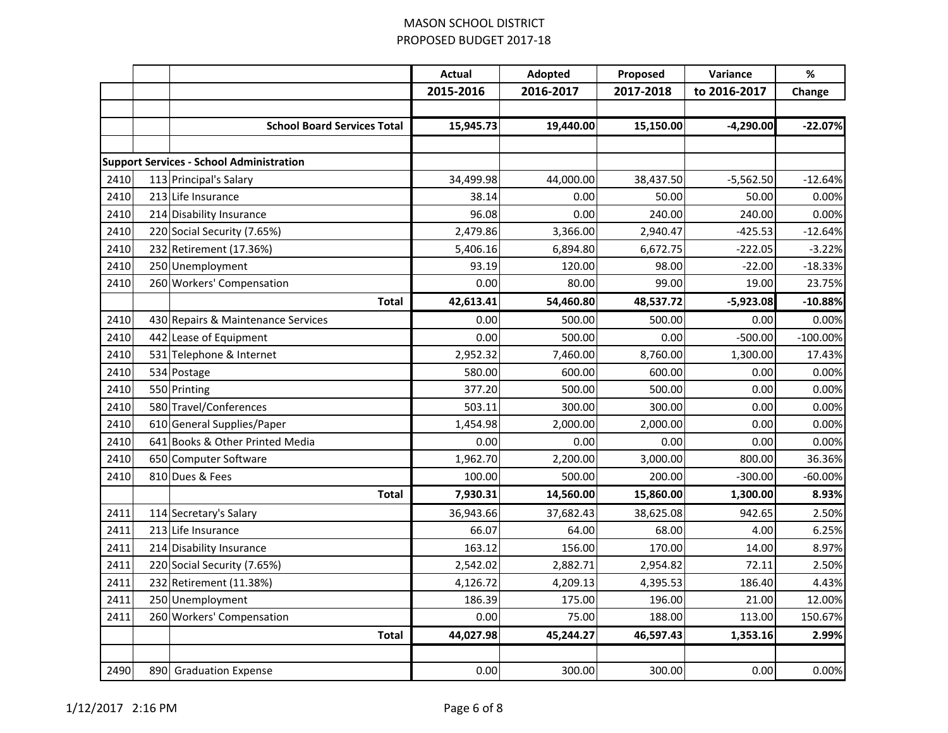|      |     |                                                 | <b>Actual</b> | Adopted   | Proposed  | Variance     | $\%$       |
|------|-----|-------------------------------------------------|---------------|-----------|-----------|--------------|------------|
|      |     |                                                 | 2015-2016     | 2016-2017 | 2017-2018 | to 2016-2017 | Change     |
|      |     |                                                 |               |           |           |              |            |
|      |     | <b>School Board Services Total</b>              | 15,945.73     | 19,440.00 | 15,150.00 | $-4,290.00$  | $-22.07%$  |
|      |     |                                                 |               |           |           |              |            |
|      |     | <b>Support Services - School Administration</b> |               |           |           |              |            |
| 2410 |     | 113 Principal's Salary                          | 34,499.98     | 44,000.00 | 38,437.50 | $-5,562.50$  | $-12.64%$  |
| 2410 |     | 213 Life Insurance                              | 38.14         | 0.00      | 50.00     | 50.00        | 0.00%      |
| 2410 |     | 214 Disability Insurance                        | 96.08         | 0.00      | 240.00    | 240.00       | 0.00%      |
| 2410 |     | 220 Social Security (7.65%)                     | 2,479.86      | 3,366.00  | 2,940.47  | $-425.53$    | $-12.64%$  |
| 2410 |     | 232 Retirement (17.36%)                         | 5,406.16      | 6,894.80  | 6,672.75  | $-222.05$    | $-3.22%$   |
| 2410 |     | 250 Unemployment                                | 93.19         | 120.00    | 98.00     | $-22.00$     | $-18.33%$  |
| 2410 |     | 260 Workers' Compensation                       | 0.00          | 80.00     | 99.00     | 19.00        | 23.75%     |
|      |     | <b>Total</b>                                    | 42,613.41     | 54,460.80 | 48,537.72 | $-5,923.08$  | $-10.88%$  |
| 2410 |     | 430 Repairs & Maintenance Services              | 0.00          | 500.00    | 500.00    | 0.00         | 0.00%      |
| 2410 |     | 442 Lease of Equipment                          | 0.00          | 500.00    | 0.00      | $-500.00$    | $-100.00%$ |
| 2410 |     | 531 Telephone & Internet                        | 2,952.32      | 7,460.00  | 8,760.00  | 1,300.00     | 17.43%     |
| 2410 |     | 534 Postage                                     | 580.00        | 600.00    | 600.00    | 0.00         | 0.00%      |
| 2410 |     | 550 Printing                                    | 377.20        | 500.00    | 500.00    | 0.00         | 0.00%      |
| 2410 |     | 580 Travel/Conferences                          | 503.11        | 300.00    | 300.00    | 0.00         | 0.00%      |
| 2410 |     | 610 General Supplies/Paper                      | 1,454.98      | 2,000.00  | 2,000.00  | 0.00         | 0.00%      |
| 2410 |     | 641 Books & Other Printed Media                 | 0.00          | 0.00      | 0.00      | 0.00         | 0.00%      |
| 2410 |     | 650 Computer Software                           | 1,962.70      | 2,200.00  | 3,000.00  | 800.00       | 36.36%     |
| 2410 |     | 810 Dues & Fees                                 | 100.00        | 500.00    | 200.00    | $-300.00$    | $-60.00%$  |
|      |     | <b>Total</b>                                    | 7,930.31      | 14,560.00 | 15,860.00 | 1,300.00     | 8.93%      |
| 2411 |     | 114 Secretary's Salary                          | 36,943.66     | 37,682.43 | 38,625.08 | 942.65       | 2.50%      |
| 2411 |     | 213 Life Insurance                              | 66.07         | 64.00     | 68.00     | 4.00         | 6.25%      |
| 2411 |     | 214 Disability Insurance                        | 163.12        | 156.00    | 170.00    | 14.00        | 8.97%      |
| 2411 |     | 220 Social Security (7.65%)                     | 2,542.02      | 2,882.71  | 2,954.82  | 72.11        | 2.50%      |
| 2411 |     | 232 Retirement (11.38%)                         | 4,126.72      | 4,209.13  | 4,395.53  | 186.40       | 4.43%      |
| 2411 |     | 250 Unemployment                                | 186.39        | 175.00    | 196.00    | 21.00        | 12.00%     |
| 2411 |     | 260 Workers' Compensation                       | 0.00          | 75.00     | 188.00    | 113.00       | 150.67%    |
|      |     | <b>Total</b>                                    | 44,027.98     | 45,244.27 | 46,597.43 | 1,353.16     | 2.99%      |
|      |     |                                                 |               |           |           |              |            |
| 2490 | 890 | <b>Graduation Expense</b>                       | 0.00          | 300.00    | 300.00    | 0.00         | 0.00%      |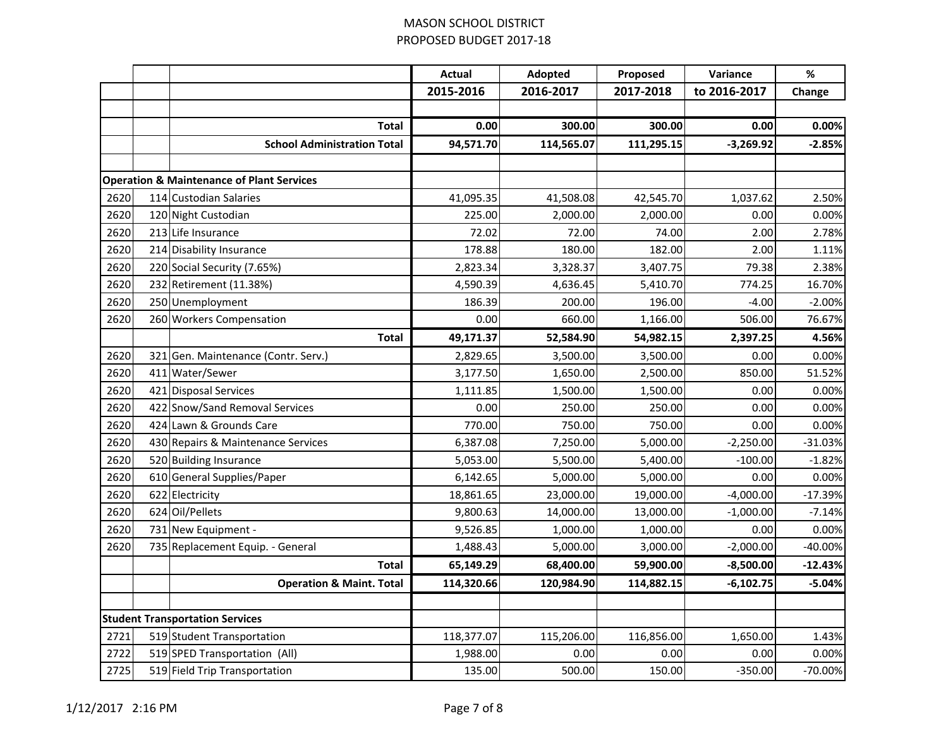|      |     |                                                      | <b>Actual</b> | Adopted    | Proposed   | Variance     | $\%$      |
|------|-----|------------------------------------------------------|---------------|------------|------------|--------------|-----------|
|      |     |                                                      | 2015-2016     | 2016-2017  | 2017-2018  | to 2016-2017 | Change    |
|      |     |                                                      |               |            |            |              |           |
|      |     | <b>Total</b>                                         | 0.00          | 300.00     | 300.00     | 0.00         | 0.00%     |
|      |     | <b>School Administration Total</b>                   | 94,571.70     | 114,565.07 | 111,295.15 | $-3,269.92$  | $-2.85%$  |
|      |     |                                                      |               |            |            |              |           |
|      |     | <b>Operation &amp; Maintenance of Plant Services</b> |               |            |            |              |           |
| 2620 |     | 114 Custodian Salaries                               | 41,095.35     | 41,508.08  | 42,545.70  | 1,037.62     | 2.50%     |
| 2620 |     | 120 Night Custodian                                  | 225.00        | 2,000.00   | 2,000.00   | 0.00         | 0.00%     |
| 2620 |     | 213 Life Insurance                                   | 72.02         | 72.00      | 74.00      | 2.00         | 2.78%     |
| 2620 |     | 214 Disability Insurance                             | 178.88        | 180.00     | 182.00     | 2.00         | 1.11%     |
| 2620 |     | 220 Social Security (7.65%)                          | 2,823.34      | 3,328.37   | 3,407.75   | 79.38        | 2.38%     |
| 2620 |     | 232 Retirement (11.38%)                              | 4,590.39      | 4,636.45   | 5,410.70   | 774.25       | 16.70%    |
| 2620 |     | 250 Unemployment                                     | 186.39        | 200.00     | 196.00     | $-4.00$      | $-2.00%$  |
| 2620 |     | 260 Workers Compensation                             | 0.00          | 660.00     | 1,166.00   | 506.00       | 76.67%    |
|      |     | <b>Total</b>                                         | 49,171.37     | 52,584.90  | 54,982.15  | 2,397.25     | 4.56%     |
| 2620 |     | 321 Gen. Maintenance (Contr. Serv.)                  | 2,829.65      | 3,500.00   | 3,500.00   | 0.00         | 0.00%     |
| 2620 | 411 | Water/Sewer                                          | 3,177.50      | 1,650.00   | 2,500.00   | 850.00       | 51.52%    |
| 2620 |     | 421 Disposal Services                                | 1,111.85      | 1,500.00   | 1,500.00   | 0.00         | 0.00%     |
| 2620 |     | 422 Snow/Sand Removal Services                       | 0.00          | 250.00     | 250.00     | 0.00         | 0.00%     |
| 2620 |     | 424 Lawn & Grounds Care                              | 770.00        | 750.00     | 750.00     | 0.00         | 0.00%     |
| 2620 |     | 430 Repairs & Maintenance Services                   | 6,387.08      | 7,250.00   | 5,000.00   | $-2,250.00$  | $-31.03%$ |
| 2620 |     | 520 Building Insurance                               | 5,053.00      | 5,500.00   | 5,400.00   | $-100.00$    | $-1.82%$  |
| 2620 |     | 610 General Supplies/Paper                           | 6,142.65      | 5,000.00   | 5,000.00   | 0.00         | 0.00%     |
| 2620 | 622 | Electricity                                          | 18,861.65     | 23,000.00  | 19,000.00  | $-4,000.00$  | $-17.39%$ |
| 2620 |     | 624 Oil/Pellets                                      | 9,800.63      | 14,000.00  | 13,000.00  | $-1,000.00$  | $-7.14%$  |
| 2620 |     | 731 New Equipment -                                  | 9,526.85      | 1,000.00   | 1,000.00   | 0.00         | 0.00%     |
| 2620 |     | 735 Replacement Equip. - General                     | 1,488.43      | 5,000.00   | 3,000.00   | $-2,000.00$  | $-40.00%$ |
|      |     | <b>Total</b>                                         | 65,149.29     | 68,400.00  | 59,900.00  | $-8,500.00$  | $-12.43%$ |
|      |     | <b>Operation &amp; Maint. Total</b>                  | 114,320.66    | 120,984.90 | 114,882.15 | $-6,102.75$  | $-5.04%$  |
|      |     |                                                      |               |            |            |              |           |
|      |     | <b>Student Transportation Services</b>               |               |            |            |              |           |
| 2721 |     | 519 Student Transportation                           | 118,377.07    | 115,206.00 | 116,856.00 | 1,650.00     | 1.43%     |
| 2722 |     | 519 SPED Transportation (All)                        | 1,988.00      | 0.00       | 0.00       | 0.00         | 0.00%     |
| 2725 |     | 519 Field Trip Transportation                        | 135.00        | 500.00     | 150.00     | $-350.00$    | -70.00%   |